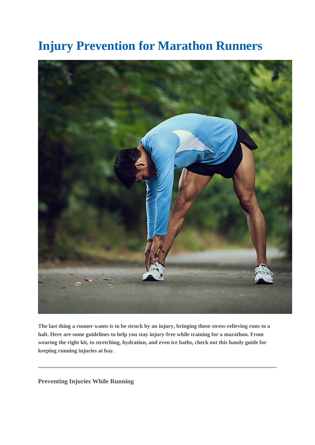## **Injury Prevention for Marathon Runners**



**The last thing a runner wants is to be struck by an injury, bringing those stress-relieving runs to a halt. Here are some guidelines to help you stay injury-free while training for a marathon. From wearing the right kit, to stretching, hydration, and even ice baths, check out this handy guide for keeping running injuries at bay.**

**Preventing Injuries While Running**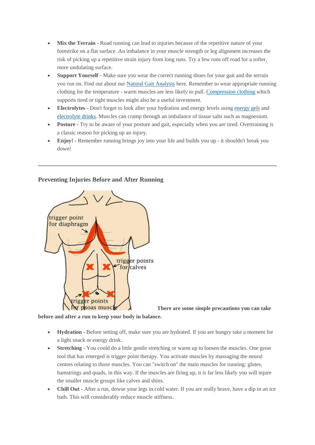- Mix the Terrain Road running can lead to injuries because of the repetitive nature of your footstrike on a flat surface. An imbalance in your muscle strength or leg alignment increases the risk of picking up a repetitive strain injury from long runs. Try a few runs off road for a softer, more undulating surface.
- **Support Yourself -** Make sure you wear the correct running shoes for your gait and the terrain you run on. Find out about our [Natural Gait Analysis](http://www.runandbecome.com/natural-gait-analysis) here. Remember to wear appropriate running clothing for the temperature - warm muscles are less likely to pull. [Compression clothing](http://www.runandbecome.com/compression-running-clothing) which supports tired or tight muscles might also be a useful investment.
- **Electrolytes -** Don't forget to look after your hydration and energy levels using [energy gels](http://www.runandbecome.com/running-gels) and [electrolyte drinks.](http://www.runandbecome.com/running-drinks) Muscles can cramp through an imbalance of tissue salts such as magnesium.
- **Posture -** Try to be aware of your posture and gait, especially when you are tired. Overtraining is a classic reason for picking up an injury.
- **Enjoy! -** Remember running brings joy into your life and builds you up it shouldn't break you down!

## **Preventing Injuries Before and After Running**



**There are some simple precautions you can take** 

**before and after a run to keep your body in balance.**

- **Hydration -** Before setting off, make sure you are hydrated. If you are hungry take a moment for a light snack or energy drink.
- **Stretching -** You could do a little gentle stretching or warm up to loosen the muscles. One great tool that has emerged is trigger point therapy. You activate muscles by massaging the neural centres relating to those muscles. You can "switch on" the main muscles for running: glutes, hamstrings and quads, in this way. If the muscles are firing up, it is far less likely you will injure the smaller muscle groups like calves and shins.
- **Chill Out** After a run, dowse your legs in cold water. If you are really brave, have a dip in an ice bath. This will considerably reduce muscle stiffness.